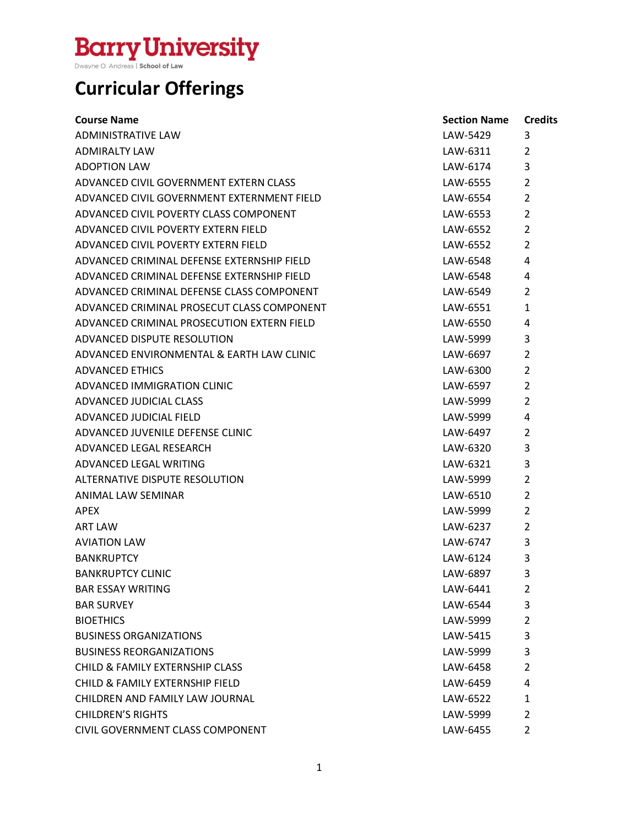### **Curricular Offerings**

| <b>Course Name</b>                         | <b>Section Name</b> | <b>Credits</b> |
|--------------------------------------------|---------------------|----------------|
| <b>ADMINISTRATIVE LAW</b>                  | LAW-5429            | 3              |
| ADMIRALTY LAW                              | LAW-6311            | 2              |
| <b>ADOPTION LAW</b>                        | LAW-6174            | 3              |
| ADVANCED CIVIL GOVERNMENT EXTERN CLASS     | LAW-6555            | 2              |
| ADVANCED CIVIL GOVERNMENT EXTERNMENT FIELD | LAW-6554            | $\overline{2}$ |
| ADVANCED CIVIL POVERTY CLASS COMPONENT     | LAW-6553            | $\overline{2}$ |
| ADVANCED CIVIL POVERTY EXTERN FIELD        | LAW-6552            | $\overline{2}$ |
| ADVANCED CIVIL POVERTY EXTERN FIELD        | LAW-6552            | $\overline{2}$ |
| ADVANCED CRIMINAL DEFENSE EXTERNSHIP FIELD | LAW-6548            | 4              |
| ADVANCED CRIMINAL DEFENSE EXTERNSHIP FIELD | LAW-6548            | 4              |
| ADVANCED CRIMINAL DEFENSE CLASS COMPONENT  | LAW-6549            | $\overline{2}$ |
| ADVANCED CRIMINAL PROSECUT CLASS COMPONENT | LAW-6551            | $\mathbf{1}$   |
| ADVANCED CRIMINAL PROSECUTION EXTERN FIELD | LAW-6550            | 4              |
| ADVANCED DISPUTE RESOLUTION                | LAW-5999            | 3              |
| ADVANCED ENVIRONMENTAL & EARTH LAW CLINIC  | LAW-6697            | $\overline{2}$ |
| ADVANCED ETHICS                            | LAW-6300            | $\overline{2}$ |
| ADVANCED IMMIGRATION CLINIC                | LAW-6597            | 2              |
| ADVANCED JUDICIAL CLASS                    | LAW-5999            | $\overline{2}$ |
| ADVANCED JUDICIAL FIELD                    | LAW-5999            | 4              |
| ADVANCED JUVENILE DEFENSE CLINIC           | LAW-6497            | 2              |
| ADVANCED LEGAL RESEARCH                    | LAW-6320            | 3              |
| ADVANCED LEGAL WRITING                     | LAW-6321            | 3              |
| ALTERNATIVE DISPUTE RESOLUTION             | LAW-5999            | $\overline{2}$ |
| ANIMAL LAW SEMINAR                         | LAW-6510            | $\overline{2}$ |
| APEX                                       | LAW-5999            | 2              |
| <b>ART LAW</b>                             | LAW-6237            | $\overline{2}$ |
| <b>AVIATION LAW</b>                        | LAW-6747            | 3              |
| <b>BANKRUPTCY</b>                          | LAW-6124            | 3              |
| <b>BANKRUPTCY CLINIC</b>                   | LAW-6897            | 3              |
| <b>BAR ESSAY WRITING</b>                   | LAW-6441            | 2              |
| <b>BAR SURVEY</b>                          | LAW-6544            | 3              |
| <b>BIOETHICS</b>                           | LAW-5999            | $\overline{2}$ |
| <b>BUSINESS ORGANIZATIONS</b>              | LAW-5415            | 3              |
| <b>BUSINESS REORGANIZATIONS</b>            | LAW-5999            | 3              |
| <b>CHILD &amp; FAMILY EXTERNSHIP CLASS</b> | LAW-6458            | 2              |
| CHILD & FAMILY EXTERNSHIP FIELD            | LAW-6459            | 4              |
| CHILDREN AND FAMILY LAW JOURNAL            | LAW-6522            | $\mathbf{1}$   |
| <b>CHILDREN'S RIGHTS</b>                   | LAW-5999            | 2              |
| CIVIL GOVERNMENT CLASS COMPONENT           | LAW-6455            | 2              |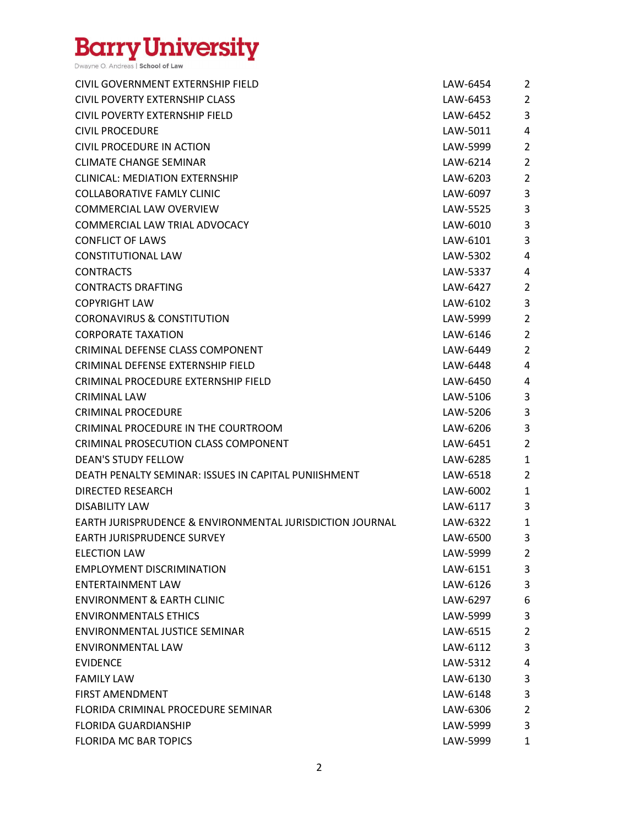| CIVIL GOVERNMENT EXTERNSHIP FIELD                                   | LAW-6454 | $\overline{2}$ |
|---------------------------------------------------------------------|----------|----------------|
| CIVIL POVERTY EXTERNSHIP CLASS                                      | LAW-6453 | $\overline{2}$ |
| CIVIL POVERTY EXTERNSHIP FIELD                                      | LAW-6452 | 3              |
| <b>CIVIL PROCEDURE</b>                                              | LAW-5011 | 4              |
| CIVIL PROCEDURE IN ACTION                                           | LAW-5999 | $\overline{2}$ |
| <b>CLIMATE CHANGE SEMINAR</b>                                       | LAW-6214 | $\overline{2}$ |
| <b>CLINICAL: MEDIATION EXTERNSHIP</b>                               | LAW-6203 | $\overline{2}$ |
| <b>COLLABORATIVE FAMLY CLINIC</b>                                   | LAW-6097 | 3              |
| <b>COMMERCIAL LAW OVERVIEW</b>                                      | LAW-5525 | 3              |
| COMMERCIAL LAW TRIAL ADVOCACY                                       | LAW-6010 | 3              |
| <b>CONFLICT OF LAWS</b>                                             | LAW-6101 | 3              |
| <b>CONSTITUTIONAL LAW</b>                                           | LAW-5302 | 4              |
| <b>CONTRACTS</b>                                                    | LAW-5337 | 4              |
| <b>CONTRACTS DRAFTING</b>                                           | LAW-6427 | $\overline{2}$ |
| <b>COPYRIGHT LAW</b>                                                | LAW-6102 | 3              |
| <b>CORONAVIRUS &amp; CONSTITUTION</b>                               | LAW-5999 | $\overline{2}$ |
| <b>CORPORATE TAXATION</b>                                           | LAW-6146 | $\overline{2}$ |
| CRIMINAL DEFENSE CLASS COMPONENT                                    | LAW-6449 | $\overline{2}$ |
| CRIMINAL DEFENSE EXTERNSHIP FIELD                                   | LAW-6448 | 4              |
| CRIMINAL PROCEDURE EXTERNSHIP FIELD                                 | LAW-6450 | 4              |
| <b>CRIMINAL LAW</b>                                                 | LAW-5106 | 3              |
| <b>CRIMINAL PROCEDURE</b>                                           | LAW-5206 | 3              |
| CRIMINAL PROCEDURE IN THE COURTROOM                                 | LAW-6206 | 3              |
| CRIMINAL PROSECUTION CLASS COMPONENT                                | LAW-6451 | $\overline{2}$ |
| <b>DEAN'S STUDY FELLOW</b>                                          | LAW-6285 | $\mathbf{1}$   |
| DEATH PENALTY SEMINAR: ISSUES IN CAPITAL PUNIISHMENT                | LAW-6518 | $\overline{2}$ |
| <b>DIRECTED RESEARCH</b>                                            | LAW-6002 | $\mathbf{1}$   |
| <b>DISABILITY LAW</b>                                               | LAW-6117 | 3              |
| <b>EARTH JURISPRUDENCE &amp; ENVIRONMENTAL JURISDICTION JOURNAL</b> | LAW-6322 | 1              |
| <b>EARTH JURISPRUDENCE SURVEY</b>                                   | LAW-6500 | 3              |
| <b>ELECTION LAW</b>                                                 | LAW-5999 | $\overline{2}$ |
| <b>EMPLOYMENT DISCRIMINATION</b>                                    | LAW-6151 | 3              |
| <b>ENTERTAINMENT LAW</b>                                            | LAW-6126 | 3              |
| <b>ENVIRONMENT &amp; EARTH CLINIC</b>                               | LAW-6297 | 6              |
| <b>ENVIRONMENTALS ETHICS</b>                                        | LAW-5999 | 3              |
| <b>ENVIRONMENTAL JUSTICE SEMINAR</b>                                | LAW-6515 | $\overline{2}$ |
| <b>ENVIRONMENTAL LAW</b>                                            | LAW-6112 | 3              |
| <b>EVIDENCE</b>                                                     | LAW-5312 | 4              |
| <b>FAMILY LAW</b>                                                   | LAW-6130 | 3              |
| <b>FIRST AMENDMENT</b>                                              | LAW-6148 | 3              |
| FLORIDA CRIMINAL PROCEDURE SEMINAR                                  | LAW-6306 | $\overline{2}$ |
| <b>FLORIDA GUARDIANSHIP</b>                                         | LAW-5999 | 3              |
| <b>FLORIDA MC BAR TOPICS</b>                                        | LAW-5999 | 1              |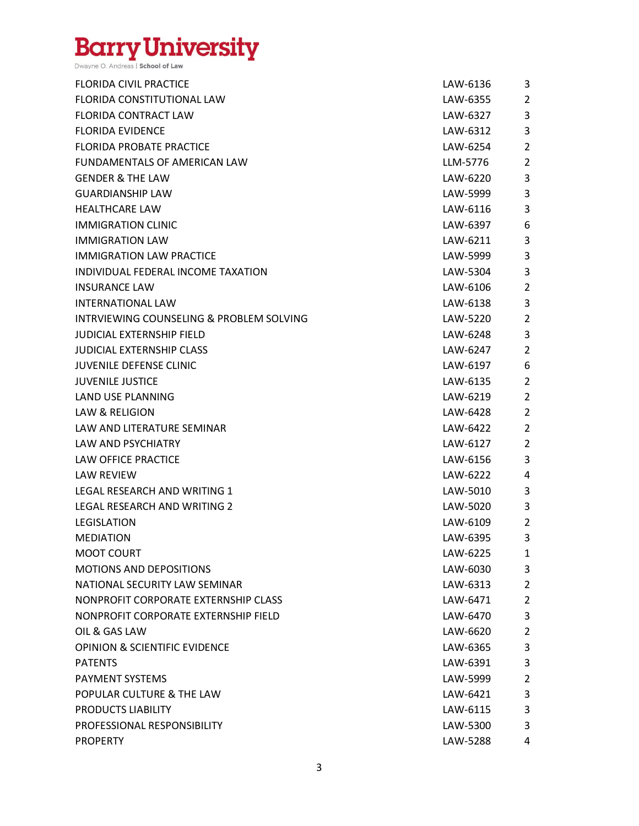| <b>FLORIDA CIVIL PRACTICE</b>            | LAW-6136 | 3              |
|------------------------------------------|----------|----------------|
| <b>FLORIDA CONSTITUTIONAL LAW</b>        | LAW-6355 | $\overline{2}$ |
| <b>FLORIDA CONTRACT LAW</b>              | LAW-6327 | 3              |
| <b>FLORIDA EVIDENCE</b>                  | LAW-6312 | 3              |
| FLORIDA PROBATE PRACTICE                 | LAW-6254 | $\overline{2}$ |
| FUNDAMENTALS OF AMERICAN LAW             | LLM-5776 | $\overline{2}$ |
| <b>GENDER &amp; THE LAW</b>              | LAW-6220 | 3              |
| <b>GUARDIANSHIP LAW</b>                  | LAW-5999 | 3              |
| <b>HEALTHCARE LAW</b>                    | LAW-6116 | 3              |
| <b>IMMIGRATION CLINIC</b>                | LAW-6397 | 6              |
| <b>IMMIGRATION LAW</b>                   | LAW-6211 | 3              |
| <b>IMMIGRATION LAW PRACTICE</b>          | LAW-5999 | 3              |
| INDIVIDUAL FEDERAL INCOME TAXATION       | LAW-5304 | 3              |
| <b>INSURANCE LAW</b>                     | LAW-6106 | $\overline{2}$ |
| <b>INTERNATIONAL LAW</b>                 | LAW-6138 | 3              |
| INTRVIEWING COUNSELING & PROBLEM SOLVING | LAW-5220 | $\overline{2}$ |
| <b>JUDICIAL EXTERNSHIP FIELD</b>         | LAW-6248 | 3              |
| <b>JUDICIAL EXTERNSHIP CLASS</b>         | LAW-6247 | $\overline{2}$ |
| <b>JUVENILE DEFENSE CLINIC</b>           | LAW-6197 | 6              |
| <b>JUVENILE JUSTICE</b>                  | LAW-6135 | $\overline{2}$ |
| LAND USE PLANNING                        | LAW-6219 | $\overline{2}$ |
| LAW & RELIGION                           | LAW-6428 | $\overline{2}$ |
| LAW AND LITERATURE SEMINAR               | LAW-6422 | $\overline{2}$ |
| LAW AND PSYCHIATRY                       | LAW-6127 | $\overline{2}$ |
| <b>LAW OFFICE PRACTICE</b>               | LAW-6156 | 3              |
| LAW REVIEW                               | LAW-6222 | 4              |
| LEGAL RESEARCH AND WRITING 1             | LAW-5010 | 3              |
| LEGAL RESEARCH AND WRITING 2             | LAW-5020 | 3              |
| LEGISLATION                              | LAW-6109 | $\overline{2}$ |
| <b>MEDIATION</b>                         | LAW-6395 | 3              |
| <b>MOOT COURT</b>                        | LAW-6225 | 1              |
| MOTIONS AND DEPOSITIONS                  | LAW-6030 | 3              |
| NATIONAL SECURITY LAW SEMINAR            | LAW-6313 | $\overline{2}$ |
| NONPROFIT CORPORATE EXTERNSHIP CLASS     | LAW-6471 | $\overline{2}$ |
| NONPROFIT CORPORATE EXTERNSHIP FIELD     | LAW-6470 | 3              |
| OIL & GAS LAW                            | LAW-6620 | $\overline{2}$ |
| <b>OPINION &amp; SCIENTIFIC EVIDENCE</b> | LAW-6365 | 3              |
| <b>PATENTS</b>                           | LAW-6391 | 3              |
| <b>PAYMENT SYSTEMS</b>                   | LAW-5999 | $\overline{2}$ |
| POPULAR CULTURE & THE LAW                | LAW-6421 | 3              |
| PRODUCTS LIABILITY                       | LAW-6115 | 3              |
| PROFESSIONAL RESPONSIBILITY              | LAW-5300 | 3              |
| <b>PROPERTY</b>                          | LAW-5288 | 4              |